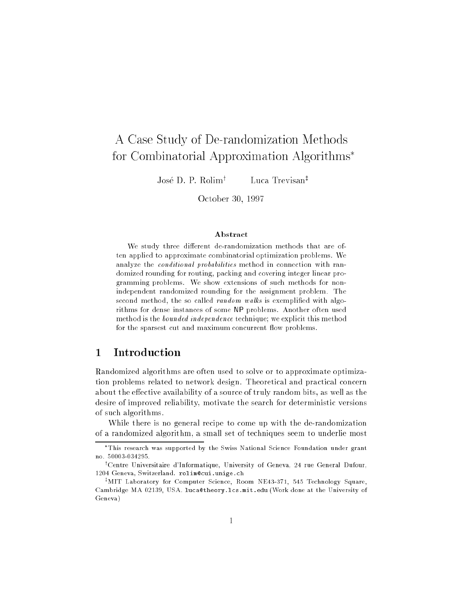# A Case Study of De-randomization Methods for Combinatorial Approximation Algorithms

José D. P. Rolim<sup>†</sup> Luca Trevisan<sup>#</sup>

October 30, <sup>1997</sup>

#### Abstract

We study three different de-randomization methods that are often applied to approximate combinatorial optimization problems. We analyze the *conditional probabilities* method in connection with randomized rounding for routing, packing and covering integer linear programming problems. We show extensions of such methods for nonindependent randomized rounding for the assignment problem. The second method, the so called *random walks* is exemplified with algorithms for dense instances of some NP problems. Another often used method is the bounded independence technique; we explicit this method for the sparsest cut and maximum concurrent flow problems.

#### $\mathbf 1$ **Introduction**

Randomized algorithms are often used to solve or to approximate optimization problems related to network design. Theoretical and practical concern about the effective availability of a source of truly random bits, as well as the desire of improved reliability, motivate the search for deterministic versions of such algorithms.

While there is no general recipe to come up with the de-randomization of a randomized algorithm, a small set of techniques seem to underlie most

This research was supported by the Swiss National Science Foundation under grant no. 50003-034295.

<sup>&</sup>lt;sup>1</sup>Centre Universitaire d'Informatique, University of Geneva, 24 rue General Dufour, 1204 Geneva, Switzerland. rolim@cui.unige.ch

<sup>&</sup>lt;sup>‡</sup>MIT Laboratory for Computer Science, Room NE43-371, 545 Technology Square, Cambridge MA 02139, USA. luca@theory.lcs.mit.edu (Work done at the University of Geneva)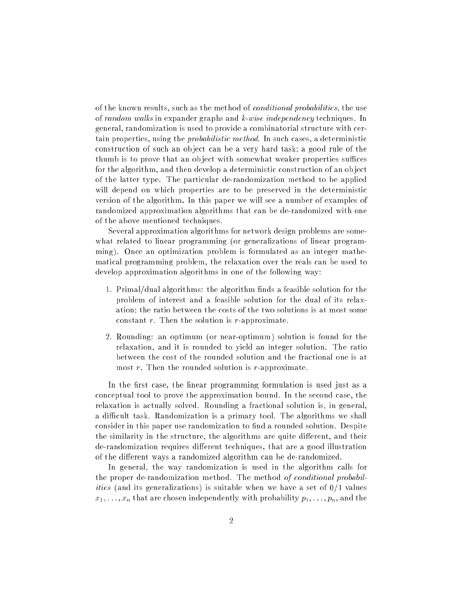of the known results, such as the method of conditional probabilities, the use of random walks in expander graphs and k-wise independency techniques. In general, randomization is used to provide a combinatorial structure with certain properties, using the probabilistic method. In such cases, a deterministic construction of such an ob ject can be a very hard task; a good rule of the thumb is to prove that an object with somewhat weaker properties suffices for the algorithm, and then develop a deterministic construction of an ob ject of the latter type. The particular de-randomization method to be applied will depend on which properties are to be preserved in the deterministic version of the algorithm. In this paper we will see a number of examples of randomized approximation algorithms that can be de-randomized with one of the above mentioned techniques.

Several approximation algorithms for network design problems are somewhat related to linear programming (or generalizations of linear programming). Once an optimization problem is formulated as an integer mathematical programming problem, the relaxation over the reals can be used to develop approximation algorithms in one of the following way:

- 1. Primal/dual algorithms: the algorithm finds a feasible solution for the problem of interest and a feasible solution for the dual of its relaxation; the ratio between the costs of the two solutions is at most some constant  $r$ . Then the solution is  $r$ -approximate.
- 2. Rounding: an optimum (or near-optimum) solution is found for the relaxation, and it is rounded to yield an integer solution. The ratio between the cost of the rounded solution and the fractional one is at most  $r$ . Then the rounded solution is  $r$ -approximate.

In the first case, the linear programming formulation is used just as a conceptual tool to prove the approximation bound. In the second case, the relaxation is actually solved. Rounding a fractional solution is, in general, a difficult task. Randomization is a primary tool. The algorithms we shall consider in this paper use randomization to find a rounded solution. Despite the similarity in the structure, the algorithms are quite different, and their de-randomization requires different techniques, that are a good illustration of the different ways a randomized algorithm can be de-randomized.

In general, the way randomization is used in the algorithm calls for the proper de-randomization method. The method of conditional probabil*ities* (and its generalizations) is suitable when we have a set of  $0/1$  values  $x_1, \ldots, x_n$  that are chosen independently with probability  $p_1, \ldots, p_n,$  and the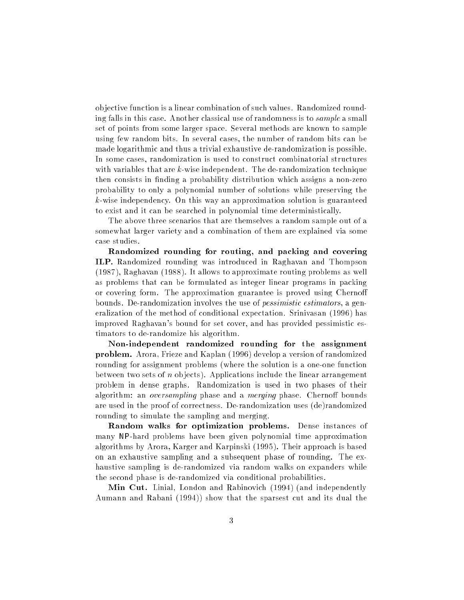ob jective function is a linear combination of such values. Randomized rounding falls in this case. Another classical use of randomness is to sample a small set of points from some larger space. Several methods are known to sample using few random bits. In several cases, the number of random bits can be made logarithmic and thus a trivial exhaustive de-randomization is possible. In some cases, randomization is used to construct combinatorial structures with variables that are  $k$ -wise independent. The de-randomization technique then consists in finding a probability distribution which assigns a non-zero probability to only a polynomial number of solutions while preserving the k-wise independency. On this way an approximation solution is guaranteed to exist and it can be searched in polynomial time deterministically.

The above three scenarios that are themselves a random sample out of a somewhat larger variety and a combination of them are explained via some case studies.

Randomized rounding for routing, and packing and covering ILP. Randomized rounding was introduced in Raghavan and Thompson (1987), Raghavan (1988). It allows to approximate routing problems as well as problems that can be formulated as integer linear programs in packing or covering form. The approximation guarantee is proved using Cherno bounds. De-randomization involves the use of *pessimistic estimators*, a generalization of the method of conditional expectation. Srinivasan (1996) has improved Raghavan's bound for set cover, and has provided pessimistic estimators to de-randomize his algorithm.

Non-independent randomized rounding for the assignment problem. Arora, Frieze and Kaplan (1996) develop a version of randomized rounding for assignment problems (where the solution is a one-one function between two sets of  $n$  objects). Applications include the linear arrangement problem in dense graphs. Randomization is used in two phases of their algorithm: an *oversampling* phase and a *merging* phase. Chernoff bounds are used in the proof of correctness. De-randomization uses (de)randomized rounding to simulate the sampling and merging.

Random walks for optimization problems. Dense instances of many NP-hard problems have been given polynomial time approximation algorithms by Arora, Karger and Karpinski (1995). Their approach is based on an exhaustive sampling and a subsequent phase of rounding. The exhaustive sampling is de-randomized via random walks on expanders while the second phase is de-randomized via conditional probabilities.

Min Cut. Linial, London and Rabinovich (1994) (and independently Aumann and Rabani (1994)) show that the sparsest cut and its dual the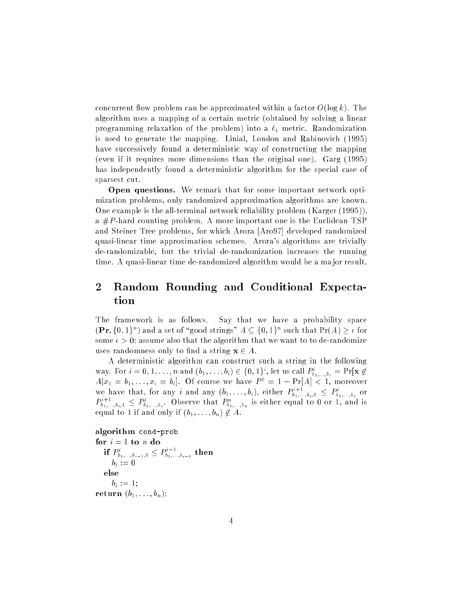concurrent flow problem can be approximated within a factor  $O(\log k)$ . The algorithm uses a mapping of a certain metric (obtained by solving a linear programming relaxation of the problem) into a  $\ell_1$  metric. Randomization is used to generate the mapping. Linial, London and Rabinovich (1995) have successively found a deterministic way of constructing the mapping (even if it requires more dimensions than the original one). Garg (1995) has independently found a deterministic algorithm for the special case of sparsest cut.

Open questions. We remark that for some important network optimization problems, only randomized approximation algorithms are known. One example is the all-terminal network reliability problem (Karger (1995)), a  $\#P$ -hard counting problem. A more important one is the Euclidean TSP and Steiner Tree problems, for which Arora [Aro97] developed randomized quasi-linear time approximation schemes. Arora's algorithms are trivially de-randomizable, but the trivial de-randomization increases the running time. A quasi-linear time de-randomized algorithm would be a ma jor result.

### 2 Random Rounding and Conditional Expectation

The framework is as follows. Say that we have a probability space  $\{ \mathbf{r}, \{0,1\} \}$  ) and a set of good strings  $\|A\| \leq \{0,1\}$  -such that  $\mathbf{r}(A) \geq \epsilon$  for some  $\epsilon > 0$ ; assume also that the algorithm that we want to to de-randomize uses randomness only to find a string  $\mathbf{x} \in A$ .

A deterministic algorithm can construct such a string in the following way. For  $i = 0, 1, \ldots, n$  and  $(v_1, \ldots, v_i) \in \{0, 1\}$ , let us call  $F_{b_1, \ldots, b_i} = \text{Pr}[\mathbf{x} \notin$  $A|x_1 = b_1, \ldots, x_i = b_i$ . Of course we have  $P^0 = 1 - \Pr[A] < 1$ , moreover we have that, for any  $i$  and any  $(\theta_1,\ldots,\theta_i),$  either  $P_{b_1,\ldots,b_i,0}\leq P_{b_1,\ldots,b_i}$  or  $P_{b_1,...,b_i,1} \leq P_{b_1,...,b_i}$ . Observe that  $P_{b_1,...,b_n}^{\cdots}$  is either equal to 0 or 1, and is equal to 1 if  $\mathcal{N}$  if  $\mathcal{N}$  if  $\mathcal{N}$  and  $\mathcal{N}$  and  $\mathcal{N}$  are  $\mathcal{N}$  and  $\mathcal{N}$ 

#### algorithm cond-prob

 $\text{if} \,\, F^*_{b_1,...,b_{i-1},0} \leq F^{}_{b_1,...,b_{i-1}} \text{ then}$  $b_i := 0$ else  $b_i := 1;$ return  $(b_1, \ldots, b_n);$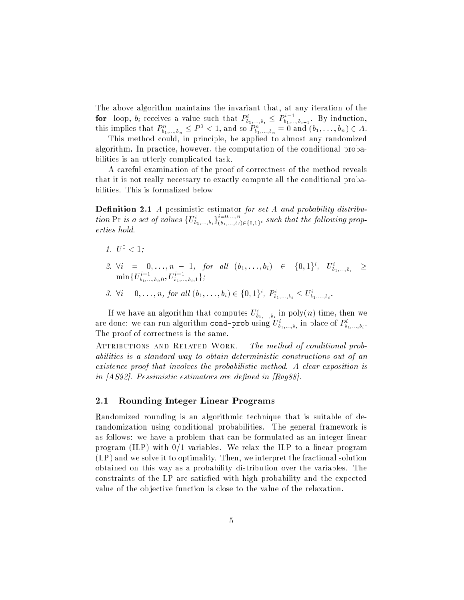The above algorithm maintains the invariant that, at any iteration of the **for** loop,  $b_i$  receives a value such that  $F_{b_1,...,b_i} \leq F_{b_1,...,b_{i-1}}$ . By induction, this implies that  $F_{b_1,\ldots,b_n} \leq F^* \leq 1$ , and so  $F_{b_1,\ldots,b_n} = 0$  and  $(v_1,\ldots,v_n) \in A$ .

This method could, in principle, be applied to almost any randomized algorithm. In practice, however, the computation of the conditional probabilities is an utterly complicated task.

A careful examination of the proof of correctness of the method reveals that it is not really necessary to exactly compute all the conditional probabilities. This is formalized below

**Definition 2.1** A pessimistic estimator for set A and probability distribution Pr is a set of values  $\{U^*_{b_1,...,b_i}\}_{(b_1,...,b_i)\in\{0,1\}^i}$  such that the following properties hold.

- 1.  $U^0 < 1$ ;
- 2. 8i = 0; : : : ; n 1, for al l (b1; : : : ; bi) <sup>2</sup> f0; 1g<sup>i</sup> , U<sup>i</sup> b1;:::;bi  $\min\{U_{b_1,\ldots,b_i,0}\,, U_{b_1,\ldots,b_i,1}\};$
- 3.  $\forall i \equiv 0, \ldots, n, for \; all \; (o_1, \ldots, o_i) \in \{0, 1\}^{\cdot}, \; F_{b_1, \ldots, b_i} \leq U_{b_1, \ldots, b_i}^{\cdot}.$

If we have an algorithm that computes  $U_{b_1,\ldots,b_i}$  in poly $(n)$  time, then we are done: we can run algorithm cond-prob using  $\overline{U}^i_{b_1,...,b_i}$  in place of  $\overline{P}^i_{b_1,...,b_i}$ . The proof of correctness is the same.

ATTRIBUTIONS AND RELATED WORK. The method of conditional probabilities is a standard way to obtain deterministic constructions out of an existence proof that involves the probabilistic method. A clear exposition is in  $[ASS2]$ . Pessimistic estimators are defined in  $[Raq88]$ .

#### 2.1 Rounding Integer Linear Programs

Randomized rounding is an algorithmic technique that is suitable of derandomization using conditional probabilities. The general framework is as follows: we have a problem that can be formulated as an integer linear program (ILP) with  $0/1$  variables. We relax the ILP to a linear program (LP) and we solve it to optimality. Then, we interpret the fractional solution obtained on this way as a probability distribution over the variables. The constraints of the LP are satised with high probability and the expected value of the ob jective function is close to the value of the relaxation.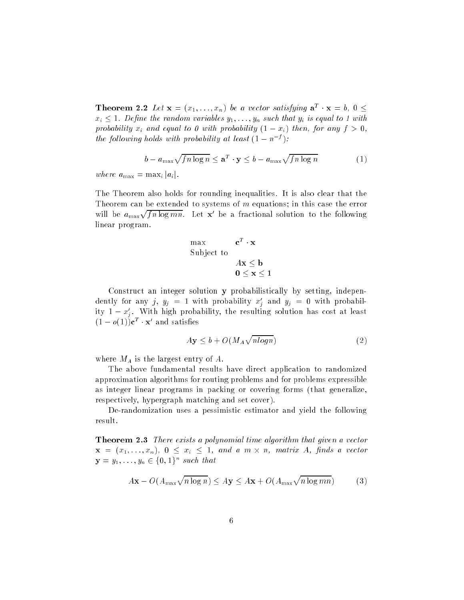**Theorem 2.2** Let  $\mathbf{x} = (x_1, \ldots, x_n)$  be a vector satisfying  $\mathbf{a} \cdot \mathbf{x} = 0, \mathbf{0} \leq$  $x_i \leq 1$ . Define the random variables  $y_1, \ldots, y_n$  such that  $y_i$  is equal to 1 with probability  $x_i$  and equal to 0 with probability  $(1 - x_i)$  then, for any  $f > 0$ , the following holds with probability at least  $(1 - n +)$ :

$$
b - a_{\max} \sqrt{fn \log n} \le \mathbf{a}^T \cdot \mathbf{y} \le b - a_{\max} \sqrt{fn \log n}
$$
 (1)

where  $a_{\text{max}} = \max_i |a_i|$ .

The Theorem also holds for rounding inequalities. It is also clear that the Theorem can be extended to systems of  $m$  equations; in this case the error will be  $a_{\text{max}}\sqrt{fn \log mn}$ . Let **x**' be a fractional solution to the following linear program.

$$
\begin{array}{ll}\n\text{max} & \mathbf{c}^T \cdot \mathbf{x} \\
\text{Subject to} & A\mathbf{x} \le \mathbf{b} \\
& 0 \le \mathbf{x} \le 1\n\end{array}
$$

Construct an integer solution y probabilistically by setting, independently for any  $j, y_j = 1$  with probability  $x_j$  and  $y_j = 0$  with probabil-Ity  $1 - x_i$ . With high probability, the resulting solution has cost at least  $(1-o(1))\mathbf{c}^T\cdot\mathbf{x}'$  and satisfies

$$
A\mathbf{y} \le b + O(M_A \sqrt{n \log n})\tag{2}
$$

where  $M_A$  is the largest entry of A.

The above fundamental results have direct application to randomized approximation algorithms for routing problems and for problems expressible as integer linear programs in packing or covering forms (that generalize, respectively, hypergraph matching and set cover).

De-randomization uses a pessimistic estimator and yield the following result.

**Theorem 2.3** There exists a polynomial time algorithm that given a vector  $\alpha$  , and  $\alpha$  is the contract of  $\alpha$  and a matrix  $\alpha$  matrix  $\alpha$  . Then a vector and  $\alpha$  $\mathbf{y} = y_1, \dots, y_n \in \{0, 1\}^n$  such that

$$
A\mathbf{x} - O(A_{\max}\sqrt{n\log n}) \le A\mathbf{y} \le A\mathbf{x} + O(A_{\max}\sqrt{n\log mn})
$$
 (3)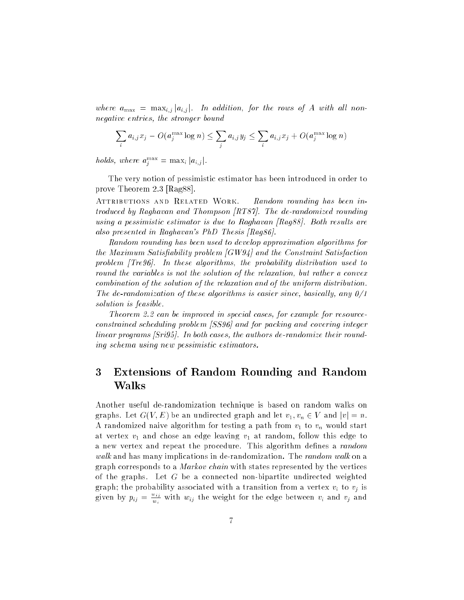where  $a_{\max} = \max_{i,j} |a_{i,j}|$ . In addition, for the rows of A with all nonnegative entries, the stronger bound

$$
\sum_{i} a_{i,j} x_j - O(a_j^{\max} \log n) \le \sum_{j} a_{i,j} y_j \le \sum_{i} a_{i,j} x_j + O(a_j^{\max} \log n)
$$

*holds, where*  $a_i$  =  $\max_i |a_{i,j}|$ .

The very notion of pessimistic estimator has been introduced in order to prove Theorem 2.3 [Rag88].

ATTRIBUTIONS AND RELATED WORK. Random rounding has been introduced by Raghavan and Thompson [RT87]. The de-randomized rounding using a pessimistic estimator is due to Raghavan [Rag88]. Both results are also presented in Raghavan's PhD Thesis [Rag86].

Random rounding has been used to develop approximation algorithms for the Maximum Satisfiability problem  $[GW94]$  and the Constraint Satisfaction problem [Tre96]. In these algorithms, the probability distribution used to round the variables is not the solution of the relaxation, but rather a convex combination of the solution of the relaxation and of the uniform distribution. The de-randomization of these algorithms is easier since, basically, any  $0/1$ solution is feasible.

Theorem 2.2 can be improved in special cases, for example for resourceconstrained scheduling problem [SS96] and for packing and covering integer linear programs [Sri95]. In both cases, the authors de-randomize their rounding schema using new pessimistic estimators.

### 3 Extensions of Random Rounding and Random Walks

Another useful de-randomization technique is based on random walks on graphs. Let  $G(V, E)$  be an undirected graph and let  $v_1, v_n \in V$  and  $|v| = n$ . A randomized naive algorithm for testing a path from  $v_1$  to  $v_n$  would start at vertex  $v_1$  and chose an edge leaving  $v_1$  at random, follow this edge to a new vertex and repeat the procedure. This algorithm defines a *random* walk and has many implications in de-randomization. The *random walk* on a graph corresponds to a *Markov chain* with states represented by the vertices of the graphs. Let  $G$  be a connected non-bipartite undirected weighted graph; the probability associated with a transition from a vertex  $v_i$  to  $v_j$  is given by  $p_{ij}$  =  $\frac{u}{w_i}$  with  $w_{ij}$  the weight for the edge between  $v_i$  and  $v_j$  and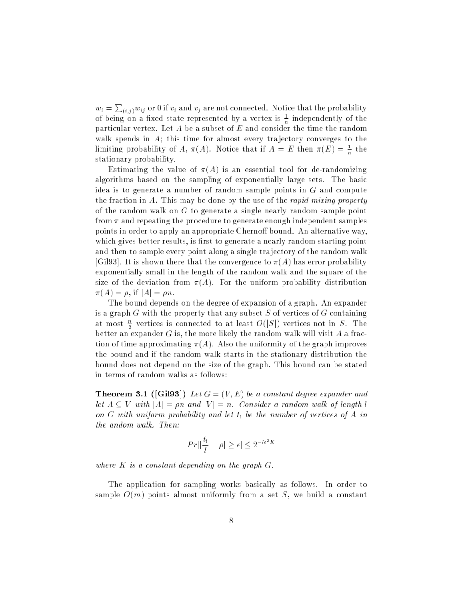$w_i = \sum_{(i,j)} w_{ij}$  or 0 if  $v_i$  and  $v_j$  are not connected. Notice that the probability of being on a fixed state represented by a vertex is  $\frac{\pi}{n}$  independently of the particular vertex. Let A be a subset of E and consider the time the random walk spends in A; this time for almost every trajectory converges to the limiting probability of  $A$ ,  $\pi(A)$ . Notice that if  $A = E$  then  $\pi(E) = \pm$  the stationary probability.

Estimating the value of  $\pi(A)$  is an essential tool for de-randomizing algorithms based on the sampling of exponentially large sets. The basic idea is to generate a number of random sample points in  $G$  and compute the fraction in  $A$ . This may be done by the use of the *rapid mixing property* of the random walk on  $G$  to generate a single nearly random sample point from  $\pi$  and repeating the procedure to generate enough independent samples points in order to apply an appropriate Chernoff bound. An alternative way, which gives better results, is first to generate a nearly random starting point and then to sample every point along a single tra jectory of the random walk [Gil93]. It is shown there that the convergence to  $\pi(A)$  has error probability exponentially small in the length of the random walk and the square of the size of the deviation from  $\pi(A)$ . For the uniform probability distribution  $\pi(A) = \rho$ , if  $|A| = \rho n$ .

The bound depends on the degree of expansion of a graph. An expander is a graph  $G$  with the property that any subset  $S$  of vertices of  $G$  containing at most  $\frac{\pi}{2}$  vertices is connected to at least  $O(|S|)$  vertices not in S. The better an expander G is, the more likely the random walk will visit A a fraction of time approximating  $\pi(A)$ . Also the uniformity of the graph improves the bound and if the random walk starts in the stationary distribution the bound does not depend on the size of the graph. This bound can be stated in terms of random walks as follows:

**Theorem 3.1 ([Gil93])** Let  $G = (V, E)$  be a constant degree expander and let  $A \subseteq V$  with  $|A| = \rho n$  and  $|V| = n$ . Consider a random walk of length l on G with uniform probability and let  $t_1$  be the number of vertices of A in the andom walk. Then:

$$
Pr[|\frac{t_l}{l} - \rho| \ge \epsilon] \le 2^{-l\epsilon^2 K}
$$

where  $K$  is a constant depending on the graph  $G$ .

The application for sampling works basically as follows. In order to sample  $O(m)$  points almost uniformly from a set S, we build a constant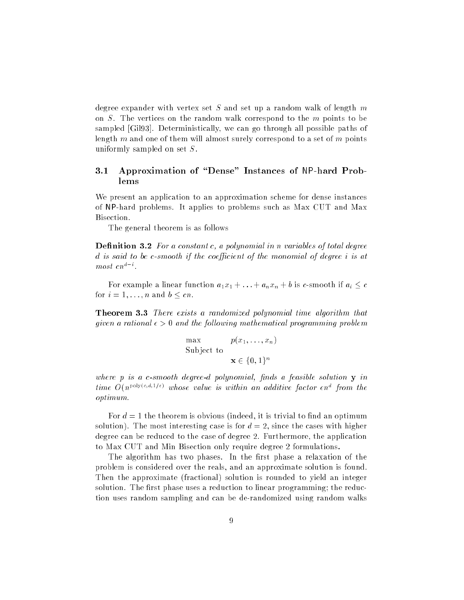degree expander with vertex set  $S$  and set up a random walk of length  $m$ on S. The vertices on the random walk correspond to the m points to be sampled [Gil93]. Deterministically, we can go through all possible paths of length m and one of them will almost surely correspond to a set of m points uniformly sampled on set  $S$ .

### 3.1 Approximation of "Dense" Instances of NP-hard Problems

We present an application to an approximation scheme for dense instances of NP-hard problems. It applies to problems such as Max CUT and Max Bisection.

The general theorem is as follows

**Definition 3.2** For a constant c, a polynomial in n variables of total degree d is said to be c-smooth if the coefficient of the monomial of degree i is at most cn — .

For example a linear function  $a_1x_1 + \ldots + a_nx_n + b$  is c-smooth if  $a_i \leq c$ for  $i = 1, \ldots, n$  and  $b \leq cn$ .

Theorem 3.3 There exists a randomized polynomial time algorithm that given a rational  $\epsilon > 0$  and the following mathematical programming problem

$$
\begin{array}{ll}\n\text{max} & p(x_1, \ldots, x_n) \\
\text{Subject to} & \mathbf{x} \in \{0, 1\}^n\n\end{array}
$$

where  $p$  is a c-smooth degree-d polynomial, finds a feasible solution  $y$  in  $time$   $O(n^{p+\epsilon_{\text{max}}+\epsilon_{\text{max}}})$  whose value is within an additive factor  $\epsilon n^{+}$  from the optimum.

For  $d = 1$  the theorem is obvious (indeed, it is trivial to find an optimum solution). The most interesting case is for  $d = 2$ , since the cases with higher degree can be reduced to the case of degree 2. Furthermore, the application to Max CUT and Min Bisection only require degree 2 formulations.

The algorithm has two phases. In the first phase a relaxation of the problem is considered over the reals, and an approximate solution is found. Then the approximate (fractional) solution is rounded to yield an integer solution. The first phase uses a reduction to linear programming; the reduction uses random sampling and can be de-randomized using random walks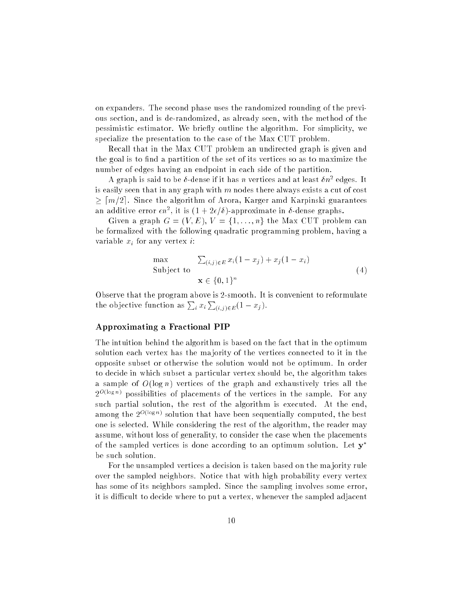on expanders. The second phase uses the randomized rounding of the previous section, and is de-randomized, as already seen, with the method of the pessimistic estimator. We briefly outline the algorithm. For simplicity, we specialize the presentation to the case of the Max CUT problem.

Recall that in the Max CUT problem an undirected graph is given and the goal is to find a partition of the set of its vertices so as to maximize the number of edges having an endpoint in each side of the partition.

A graph is said to be  $v$ -dense if it has n vertices and at least  $v\overline{n}$  edges. It is easily seen that in any graph with  $m$  nodes there always exists a cut of cost  $\geq$  [m/2]. Since the algorithm of Arora, Karger amd Karpinski guarantees an additive error  $\epsilon n$  , it is (1 + 2 $\epsilon$ /0)-approximate in 0-dense graphs.

Given a graph  $G = (V, E), V = \{1, ..., n\}$  the Max CUT problem can be formalized with the following quadratic programming problem, having a variable  $x_i$  for any vertex  $i$ :

$$
\begin{array}{ll}\n\text{max} & \sum_{(i,j)\in E} x_i (1 - x_j) + x_j (1 - x_i) \\
\text{Subject to} & \mathbf{x} \in \{0, 1\}^n\n\end{array} \tag{4}
$$

Observe that the program above is 2-smooth. It is convenient to reformulate the objective function as  $\sum_i x_i \sum_{(i,j)\in E} (1-x_j)$ .

#### Approximating a Fractional PIP

The intuition behind the algorithm is based on the fact that in the optimum solution each vertex has the ma jority of the vertices connected to it in the opposite subset or otherwise the solution would not be optimum. In order to decide in which subset a particular vertex should be, the algorithm takes a sample of  $O(\log n)$  vertices of the graph and exhaustively tries all the  $2^\text{-}\gamma^\text{-}\gamma^\text{-}$  possibilities of placements of the vertices in the sample. For any such partial solution, the rest of the algorithm is executed. At the end, among the  $z \rightarrow \circ$   $\cdot$  solution that have been sequentially computed, the best one is selected. While considering the rest of the algorithm, the reader may assume, without loss of generality, to consider the case when the placements of the sampled vertices is done according to an optimum solution. Let  $y^*$ be such solution.

For the unsampled vertices a decision is taken based on the ma jority rule over the sampled neighbors. Notice that with high probability every vertex has some of its neighbors sampled. Since the sampling involves some error, it is difficult to decide where to put a vertex, whenever the sampled adjacent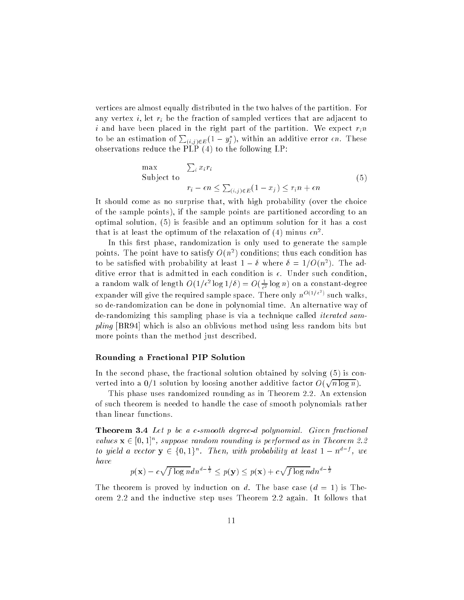vertices are almost equally distributed in the two halves of the partition. For any vertex i, let  $r_i$  be the fraction of sampled vertices that are adjacent to i and have been placed in the right part of the partition. We expect  $r_i n$ to be an estimation of  $\sum_{(i,j)\in E} (1-y_i^*)$ , within an additive error  $\epsilon n$ . These observations reduce the PLP (4) to the following LP:

$$
\begin{array}{ll}\n\text{max} & \sum_{i} x_i r_i \\
\text{Subject to} & r_i - \epsilon n \le \sum_{(i,j) \in E} (1 - x_j) \le r_i n + \epsilon n\n\end{array} \tag{5}
$$

It should come as no surprise that, with high probability (over the choice of the sample points), if the sample points are partitioned according to an optimal solution, (5) is feasible and an optimum solution for it has a cost that is at least the optimum of the relaxation of (4) minus  $\epsilon n^2$ .

In this first phase, randomization is only used to generate the sample points. The point have to satisfy  $O(n)$  conditions; thus each condition has to be satisfied with probability at least  $1 - v$  where  $v = 1/O(n<sup>2</sup>)$ . The additive error that is admitted in each condition is  $\epsilon$ . Under such condition, a random walk of length  $O(1/\epsilon^2 \log 1/\ell) = O(\frac{1}{\epsilon^2} \log n)$  on a constant-degree expander will give the required sample space. There only  $n^{O(1/\epsilon^2)}$  such walks, so de-randomization can be done in polynomial time. An alternative way of de-randomizing this sampling phase is via a technique called *iterated sampling* [BR94] which is also an oblivious method using less random bits but more points than the method just described.

#### Rounding a Fractional PIP Solution

In the second phase, the fractional solution obtained by solving (5) is converted into a 0/1 solution by loosing another additive factor  $\mathbf{r}$  and  $\mathbf{r}$ <u>provided and the second second and the second second in the second second second in the second second in the second second in the second second second in the second second in the second second second in the second second </u> n log n).

This phase uses randomized rounding as in Theorem 2.2. An extension of such theorem is needed to handle the case of smooth polynomials rather than linear functions.

**Theorem 3.4** Let  $p$  be a c-smooth degree-d polynomial. Given fractional values  $\mathbf{x} \in [0, 1]$ , suppose random rounding is performed as in Theorem 2.2 to yield a vector  $y \in \{0, 1\}$ . Then, with probability at least  $1 - n$ , we have

$$
p(\mathbf{x}) - c\sqrt{f \log n} dn^{d - \frac{1}{2}} \le p(\mathbf{y}) \le p(\mathbf{x}) + c\sqrt{f \log n} dn^{d - \frac{1}{2}}
$$

The theorem is proved by induction on d. The base case  $(d = 1)$  is Theorem 2.2 and the inductive step uses Theorem 2.2 again. It follows that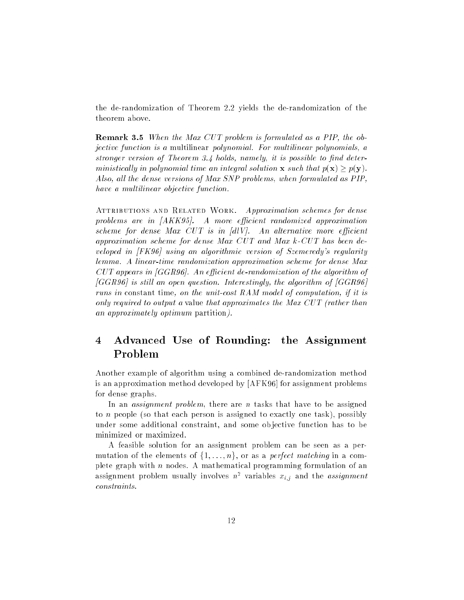the de-randomization of Theorem 2.2 yields the de-randomization of the theorem above.

**Remark 3.5** When the Max CUT problem is formulated as a PIP, the objective function is a multilinear polynomial. For multilinear polynomials, a stronger version of Theorem  $3.4$  holds, namely, it is possible to find deterministically in polynomial time an integral solution  $x$  such that  $p(x) \geq p(y)$ . Also, all the dense versions of Max SNP problems, when formulated as PIP, have a multilinear objective function.

ATTRIBUTIONS AND RELATED WORK. Approximation schemes for dense problems are in  $[AKK95]$ . A more efficient randomized approximation scheme for dense Max CUT is in  $\text{Id}V$ . An alternative more efficient approximation scheme for dense Max CUT and Max k-CUT has been developed in [FK96] using an algorithmic version of Szemeredy's regularity lemma. A linear-time randomization approximation scheme for dense Max  $CUT$  appears in [GGR96]. An efficient de-randomization of the algorithm of [GGR96] is still an open question. Interestingly, the algorithm of [GGR96] runs in constant time, on the unit-cost RAM model of computation, if it is only required to output a value that approximates the Max CUT (rather than an approximately optimum partition).

## 4 Advanced Use of Rounding: the Assignment Problem

Another example of algorithm using a combined de-randomization method is an approximation method developed by [AFK96] for assignment problems for dense graphs.

In an *assignment problem*, there are  $n$  tasks that have to be assigned to n people (so that each person is assigned to exactly one task), possibly under some additional constraint, and some ob jective function has to be minimized or maximized.

A feasible solution for an assignment problem can be seen as a permutation of the elements of  $\{1, \ldots, n\}$ , or as a *perfect matching* in a complete graph with  $n$  nodes. A mathematical programming formulation of an assignment problem usually involves  $n^2$  variables  $x_{i,j}$  and the *assignment* constraints.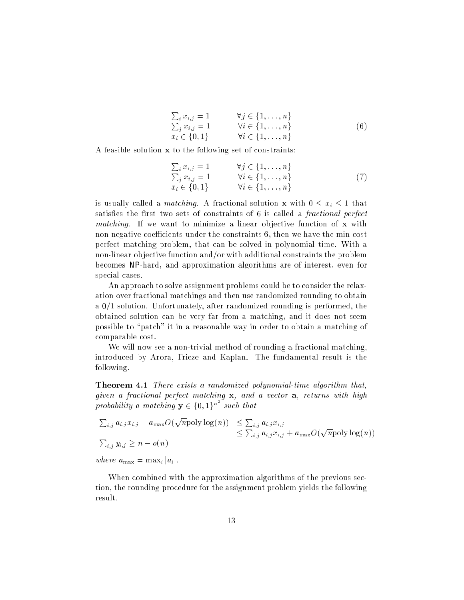$$
\sum_{i} x_{i,j} = 1 \qquad \forall j \in \{1, ..., n\}
$$
  
\n
$$
\sum_{j} x_{i,j} = 1 \qquad \forall i \in \{1, ..., n\}
$$
  
\n
$$
x_{i} \in \{0, 1\} \qquad \forall i \in \{1, ..., n\}
$$
  
\n(6)

A feasible solution x to the following set of constraints:

$$
\sum_{i} x_{i,j} = 1 \qquad \forall j \in \{1, ..., n\} \n\sum_{j} x_{i,j} = 1 \qquad \forall i \in \{1, ..., n\} \n x_{i} \in \{0, 1\} \qquad \forall i \in \{1, ..., n\}
$$
\n(7)

is usually called a *matching*. A fractional solution **x** with  $0 \leq x_i \leq 1$  that satisfies the first two sets of constraints of 6 is called a *fractional perfect matching*. If we want to minimize a linear objective function of  $x$  with non-negative coefficients under the constraints 6, then we have the min-cost perfect matching problem, that can be solved in polynomial time. With a non-linear ob jective function and/or with additional constraints the problem becomes NP-hard, and approximation algorithms are of interest, even for special cases.

An approach to solve assignment problems could be to consider the relaxation over fractional matchings and then use randomized rounding to obtain a 0/1 solution. Unfortunately, after randomized rounding is performed, the obtained solution can be very far from a matching, and it does not seem possible to "patch" it in a reasonable way in order to obtain a matching of comparable cost.

We will now see a non-trivial method of rounding a fractional matching, introduced by Arora, Frieze and Kaplan. The fundamental result is the following.

**Theorem 4.1** There exists a randomized polynomial-time algorithm that, given a fractional perfect matching x, and a vector a, returns with high probability a matching  $y \in \{0,1\}^n$  such that

$$
\sum_{i,j} a_{i,j} x_{i,j} - a_{\max} O(\sqrt{n} \text{poly} \log(n)) \leq \sum_{i,j} a_{i,j} x_{i,j} \leq \sum_{i,j} a_{i,j} x_{i,j} + a_{\max} O(\sqrt{n} \text{poly} \log(n)) \sum_{i,j} y_{i,j} \geq n - o(n)
$$

where  $a_{\text{max}} = \max_i |a_i|$ .

When combined with the approximation algorithms of the previous section, the rounding procedure for the assignment problem yields the following result.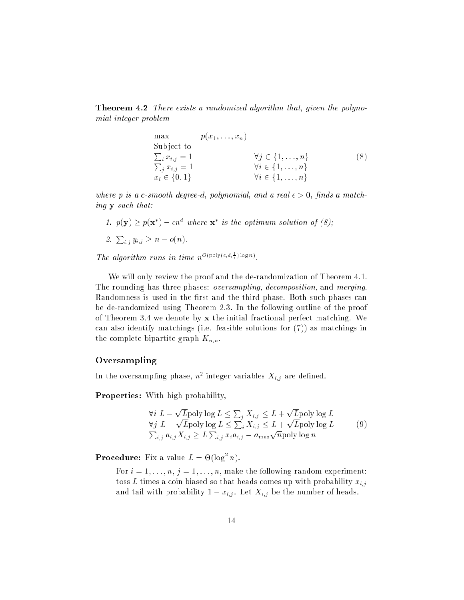**Theorem 4.2** There exists a randomized algorithm that, given the polynomial integer problem

$$
\begin{array}{ll}\n\text{max} & p(x_1, \dots, x_n) \\
\text{Subject to} \\
\sum_i x_{i,j} = 1 & \forall j \in \{1, \dots, n\} \\
\sum_j x_{i,j} = 1 & \forall i \in \{1, \dots, n\} \\
x_i \in \{0, 1\} & \forall i \in \{1, \dots, n\}\n\end{array} \tag{8}
$$

where p is a c-smooth degree-d, polynomial, and a real  $\epsilon > 0$ , finds a matching y such that:

1.  $p(y) > p(x) - \epsilon n^2$  where x is the optimum solution of (8); 2.  $\sum_{i,j} y_{i,j} \geq n - o(n)$ .

The algorithm runs in time  $n^{\mathcal{O}(\text{poly}(c,a),\frac{1}{\epsilon})\log n)}$ .

We will only review the proof and the de-randomization of Theorem 4.1. The rounding has three phases: oversampling, decomposition, and merging. Randomness is used in the first and the third phase. Both such phases can be de-randomized using Theorem 2.3. In the following outline of the proof of Theorem 3.4 we denote by  $x$  the initial fractional perfect matching. We can also identify matchings (i.e. feasible solutions for (7)) as matchings in the complete bipartite graph  $K_{n,n}$ .

### **Oversampling**

In the oversampling phase,  $n$  -integer variables  $\bm{A}_{i,j}$  are defined.

Properties: With high probability,

$$
\forall i \ L - \sqrt{L} \text{poly} \log L \leq \sum_{j} X_{i,j} \leq L + \sqrt{L} \text{poly} \log L
$$
  

$$
\forall j \ L - \sqrt{L} \text{poly} \log L \leq \sum_{i} X_{i,j} \leq L + \sqrt{L} \text{poly} \log L
$$
  

$$
\sum_{i,j} a_{i,j} X_{i,j} \geq L \sum_{i,j} x_i a_{i,j} - a_{\text{max}} \sqrt{n} \text{poly} \log n
$$
 (9)

**Procedure:** Fix a value  $L = \Theta(\log^2 n)$ .

For  $i = 1, \ldots, n, j = 1, \ldots, n$ , make the following random experiment: toss L times a coin biased so that heads comes up with probability  $x_{i,j}$ and tail with probability  $1 - x_{i,j}$ . Let  $X_{i,j}$  be the number of heads.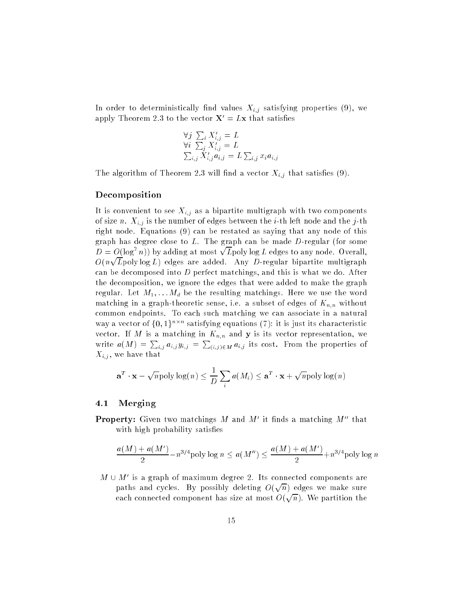In order to deterministically find values  $X_{i,j}$  satisfying properties (9), we apply Theorem 2.3 to the vector  $X' = Lx$  that satisfies

$$
\begin{array}{l}\forall j \ \sum_i X'_{i,j} = L \\
\forall i \ \sum_j X'_{i,j} = L \\
\sum_{i,j} X'_{i,j} a_{i,j} = L \sum_{i,j} x_i a_{i,j}\n\end{array}
$$

The algorithm of Theorem 2.3 will find a vector  $X_{i,j}$  that satisfies (9).

#### Decomposition

It is convenient to see  $X_{i,j}$  as a bipartite multigraph with two components of size n.  $X_{i,j}$  is the number of edges between the *i*-th left node and the *j*-th right node. Equations (9) can be restated as saying that any node of this graph has degree close to  $L$ . The graph can be made  $D$ -regular (for some  $D = O(\log^2 n)$  by adding at most  $\sqrt{L}$ poly log L edges to any node. Overall,  $$ <sup>p</sup> Lpoly log L) edges are added. Any D-regular bipartite multigraph can be decomposed into D perfect matchings, and this is what we do. After the decomposition, we ignore the edges that were added to make the graph regular. Let  $M_1, \ldots M_d$  be the resulting matchings. Here we use the word matching in a graph-theoretic sense, i.e. a subset of edges of  $K_{n,n}$  without common endpoints. To each such matching we can associate in a natural way a vector of  $\{0, 1\}$  - satisfying equations (7): it is just its characteristic vector. If M is a matching in  $K_{n,n}$  and y is its vector representation, we write  $a(M) = \sum_{i,j} a_{i,j} y_{i,j} = \sum_{(i,j) \in M} a_{i,j}$  its cost. From the properties of  $X_{i,j}$ , we have that

$$
\mathbf{a}^T \cdot \mathbf{x} - \sqrt{n} \text{poly} \log(n) \le \frac{1}{D} \sum_i a(M_i) \le \mathbf{a}^T \cdot \mathbf{x} + \sqrt{n} \text{poly} \log(n)
$$

#### 4.1 Merging

**Property:** Given two matchings  $M$  and  $M$  it finds a matching  $M$  -that with high probability satisfies

$$
\frac{a(M) + a(M')}{2} - n^{3/4} \text{poly} \log n \, \leq \, a(M'') \leq \frac{a(M) + a(M')}{2} + n^{3/4} \text{poly} \log n
$$

 $m$   $\cup$   $m$   $\,$  is a graph of maximum degree 2. Its connected components are paths and cycles. By possibly deleting  $O(\sqrt{n})$  edges we make sure each connected component has size at most  $O(\sqrt{n})$ . We partition the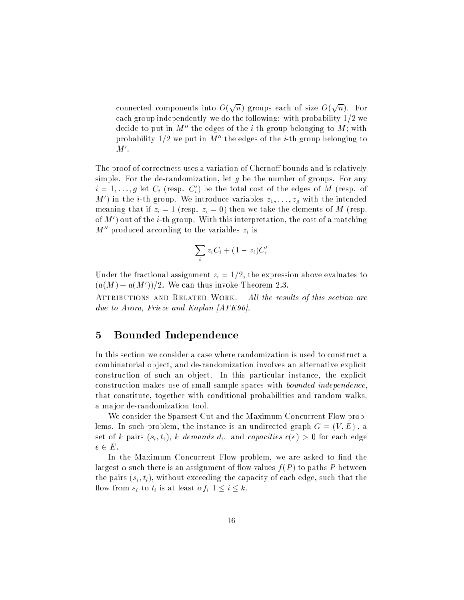connected components into  $O(\sqrt{n})$  groups each of size  $O(\sqrt{n})$ . For each group independently we do the following: with probability 1/2 we decide to put in M<sup>n</sup> the edges of the *i*-th group belonging to M; with probability  $1/2$  we put in M<sup>th</sup> the edges of the *i*-th group belonging to  $M$  .

The proof of correctness uses a variation of Chernoff bounds and is relatively simple. For the de-randomization, let  $g$  be the number of groups. For any  $i = 1, \ldots, g$  let  $C_i$  (resp.  $C_i$ ) be the total cost of the edges of M (resp. of  $m$  ) in the  $i$ -th group. We introduce variables  $z_1,\ldots,z_g$  with the intended meaning that if  $z_i = 1$  (resp.  $z_i = 0$ ) then we take the elements of M (resp. of M<sup>0</sup> ) out of the i-th group. With this interpretation, the cost of a matching  $M''$  produced according to the variables  $z_i$  is

$$
\sum_{i} z_i C_i + (1 - z_i) C'_i
$$

Under the fractional assignment  $z<sub>i</sub> = 1/2$ , the expression above evaluates to  $\left\lfloor \frac{a(M)+a(M+1)/2}{2} \right\rfloor$  we can thus invoke Theorem 2.3.

ATTRIBUTIONS AND RELATED WORK. All the results of this section are due to Arora, Frieze and Kaplan [AFK96].

### 5 Bounded Independence

In this section we consider a case where randomization is used to construct a combinatorial ob ject, and de-randomization involves an alternative explicit construction of such an ob ject. In this particular instance, the explicit construction makes use of small sample spaces with bounded independence, that constitute, together with conditional probabilities and random walks, a ma jor de-randomization tool.

We consider the Sparsest Cut and the Maximum Concurrent Flow problems. In such problem, the instance is an undirected graph  $G = (V, E)$ , a set of k pairs  $(s_i, t_i)$ , k demands  $d_i$ . and capacities  $c(e) > 0$  for each edge  $e \in E$ .

In the Maximum Concurrent Flow problem, we are asked to find the largest  $\alpha$  such there is an assignment of flow values  $f(P)$  to paths P between the pairs  $(s_i, t_i)$ , without exceeding the capacity of each edge, such that the flow from  $s_i$  to  $t_i$  is at least  $\alpha f_i$   $1 \leq i \leq k$ .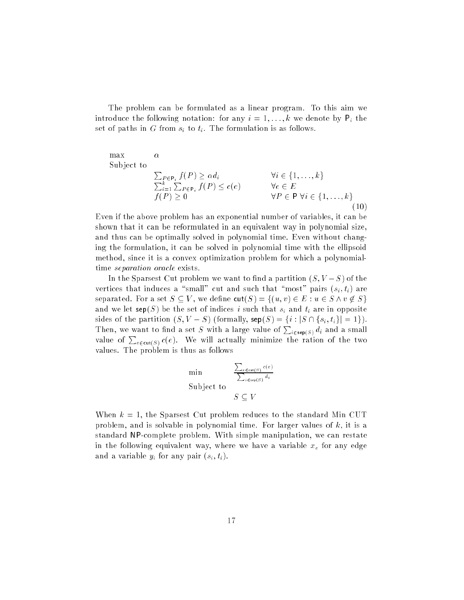The problem can be formulated as a linear program. To this aim we introduce the following notation: for any  $i = 1, \ldots, k$  we denote by  $P_i$  the set of paths in G from  $s_i$  to  $t_i$ . The formulation is as follows.

max  $\qquad \alpha$ Sub ject to  $\sum_{P \in \mathsf{P}_i} f(P) \geq \alpha d_i$   $\forall i \in \{1, ..., k\}$  $\sum_{P \in \mathsf{P}_i} f(P) \leq c(e)$   $\forall e \in E$ f (P ) 0 8P <sup>2</sup> <sup>P</sup> 8i 2 f1; : : : ; kg (10)

Even if the above problem has an exponential number of variables, it can be shown that it can be reformulated in an equivalent way in polynomial size, and thus can be optimally solved in polynomial time. Even without changing the formulation, it can be solved in polynomial time with the ellipsoid method, since it is a convex optimization problem for which a polynomialtime separation oracle exists.

In the Sparsest Cut problem we want to find a partition  $(S, V-S)$  of the vertices that induces a "small" cut and such that "most" pairs  $(s_i, t_i)$  are separated. For a set  $S \subseteq V$ , we define  $\textsf{cut}(S) = \{(u, v) \in E : u \in S \land v \notin S\}$ and we let sep(S) be the set of indices i such that  $s_i$  and  $t_i$  are in opposite sides of the partition  $(S, V - S)$  (formally,  $\mathsf{sep}(S) = \{i : |S \cap \{s_i, t_i\}| = 1\}).$ Then, we want to find a set S with a large value of  $\sum_{i \in \mathsf{sep}(S)} d_i$  and a small value of  $\sum_{e \in \textsf{cut}(S)} c(e)$ . We will actually minimize the ration of the two values. The problem is thus as follows

$$
\begin{array}{ll}\n\text{min} & \frac{\sum_{e \in \text{cut}(S)} c(e)}{\sum_{i \in \text{top}(S)} d_i} \\
\text{Subject to} & S \subseteq V\n\end{array}
$$

When  $k = 1$ , the Sparsest Cut problem reduces to the standard Min CUT problem, and is solvable in polynomial time. For larger values of  $k$ , it is a standard NP-complete problem. With simple manipulation, we can restate in the following equivalent way, where we have a variable  $x_e$  for any edge and a variable  $y_i$  for any pair  $(s_i, t_i)$ .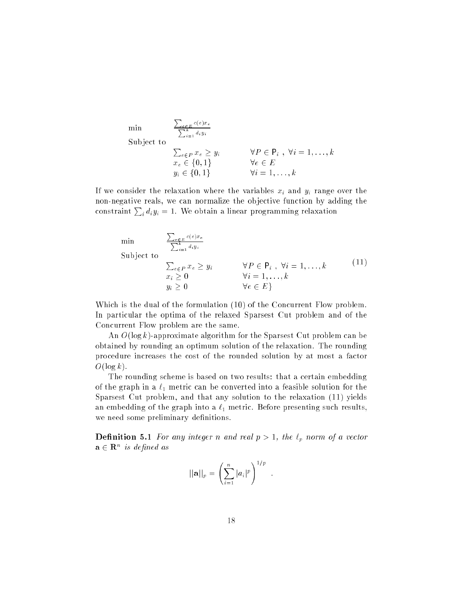min  
\n
$$
\frac{\sum_{e \in E} c(e)x_e}{\sum_{i=1}^k d_i y_i}
$$
\nSubject to  
\n
$$
\sum_{e \in P} x_e \geq y_i \qquad \forall P \in \mathsf{P}_i, \forall i = 1, ..., k
$$
\n
$$
x_e \in \{0, 1\} \qquad \forall e \in E
$$
\n
$$
y_i \in \{0, 1\} \qquad \forall i = 1, ..., k
$$

If we consider the relaxation where the variables  $x_i$  and  $y_i$  range over the non-negative reals, we can normalize the ob jective function by adding the constraint  $\sum_i d_i y_i = 1$ . We obtain a linear programming relaxation

$$
\begin{array}{ll}\n\min & \frac{\sum_{e \in E} c(e)x_e}{\sum_{i=1}^k d_i y_i} \\
\text{Subject to} & \sum_{e \in P} x_e \ge y_i \\
& x_i \ge 0 \\
& y_i \ge 0\n\end{array}\n\quad\n\begin{array}{ll}\n\forall P \in \mathsf{P}_i, \ \forall i = 1, \dots, k \\
\forall i = 1, \dots, k \\
\forall e \in E\n\end{array}\n\tag{11}
$$

Which is the dual of the formulation (10) of the Concurrent Flow problem. In particular the optima of the relaxed Sparsest Cut problem and of the Concurrent Flow problem are the same.

An  $O(\log k)$ -approximate algorithm for the Sparsest Cut problem can be obtained by rounding an optimum solution of the relaxation. The rounding procedure increases the cost of the rounded solution by at most a factor  $O(\log k)$ .

The rounding scheme is based on two results: that a certain embedding of the graph in a  $\ell_1$  metric can be converted into a feasible solution for the Sparsest Cut problem, and that any solution to the relaxation (11) yields an embedding of the graph into a  $\ell_1$  metric. Before presenting such results, we need some preliminary definitions.

**Definition 5.1** For any integer n and real  $p > 1$ , the  $\ell_p$  norm of a vector  $\mathbf{a} \in \mathbf{n}$  is defined as

$$
||\mathbf{a}||_p = \left(\sum_{i=1}^n |a_i|^p\right)^{1/p}
$$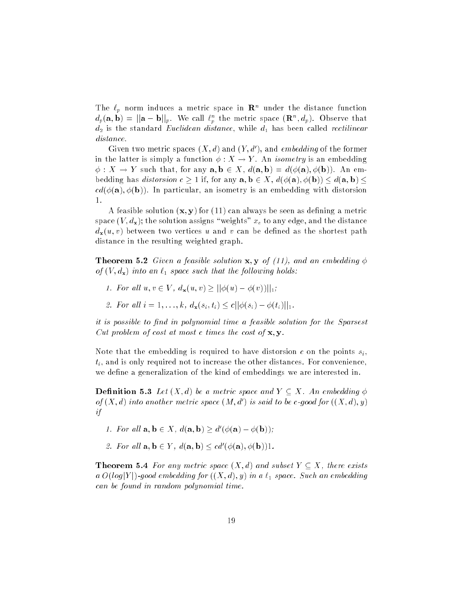The  $\epsilon_p$  norm induces a metric space in  $\bf R$  ander the distance function  $a_p({\bf a},{\bf b}) = ||{\bf a}-{\bf b}||_p$ . We call  $\iota_p$  the metric space  $({\bf r},a_p)$ . Observe that  $d_2$  is the standard *Euclidean distance*, while  $d_1$  has been called *rectilinear* distance.

Given two metric spaces  $(X, a)$  and  $(Y, a)$ , and *embedding* of the former in the latter is simply a function  $\phi: X \to Y$ . An *isometry* is an embedding  $\phi: X \to Y$  such that, for any  $a, b \in X$ ,  $d(a, b) = d(\phi(a), \phi(b))$ . An embedding has *distorsion*  $c \ge 1$  if, for any  $\mathbf{a}, \mathbf{b} \in X$ ,  $d(\phi(\mathbf{a}), \phi(\mathbf{b})) \le d(\mathbf{a}, \mathbf{b}) \le$  $cd(\phi(\mathbf{a}), \phi(\mathbf{b}))$ . In particular, an isometry is an embedding with distorsion 1.

A feasible solution  $(x, y)$  for (11) can always be seen as defining a metric space  $(V,d_{\bold{x}});$  the solution assigns "weights"  $x_e$  to any edge, and the distance  $d_{\mathbf{x}}(u, v)$  between two vertices u and v can be defined as the shortest path distance in the resulting weighted graph.

**Theorem 5.2** Given a feasible solution **x**, **y** of (11), and an embedding  $\phi$ of  $(V, d_x)$  into an  $\ell_1$  space such that the following holds:

- 1. For all  $u, v \in V$ ,  $d_{\mathbf{x}}(u, v) \geq ||\phi(u) \phi(v))||_1;$
- 2. For all  $i = 1, ..., k$ ,  $d_x(s_i, t_i) \le c ||\phi(s_i) \phi(t_i)||_1$ .

it is possible to find in polynomial time a feasible solution for the Sparsest Cut problem of cost at most c times the cost of  $x, y$ .

Note that the embedding is required to have distorsion c on the points  $s_i$ ,  $t_i$ , and is only required not to increase the other distances. For convenience, we define a generalization of the kind of embeddings we are interested in.

**Definition 5.3** Let  $(X, d)$  be a metric space and  $Y \subseteq X$ . An embedding  $\phi$  $o$ f ( $X, a$ ) into another metric space (M,  $a$ ) is said to be c-good for (( $X, a$ ),  $y$ ) if

- 1. For all  $a, b \in A$ ,  $a(a, b) \ge a$  ( $\varphi(a) \varphi(b)$ );
- z. For all  $a, b \in Y$ ,  $a(a, b) \leq ca(\phi(a), \phi(b))1$ .

**Theorem 5.4** For any metric space  $(X,d)$  and subset  $Y \subseteq X$ , there exists a  $O(log|Y|)$ -good embedding for  $((X, d), y)$  in a  $\ell_1$  space. Such an embedding can be found in random polynomial time.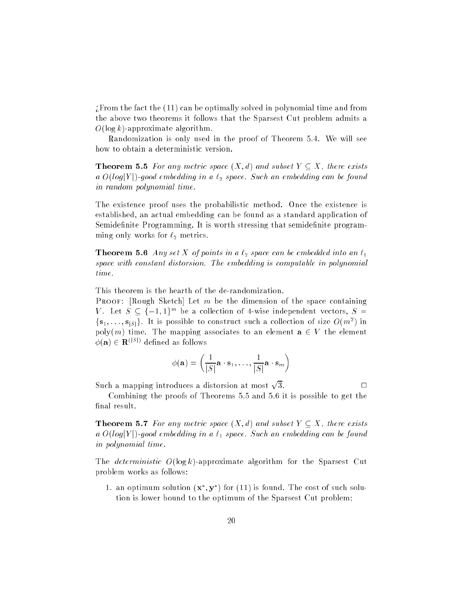>From the fact the (11) can be optimally solved in polynomial time and from the above two theorems it follows that the Sparsest Cut problem admits a  $O(\log k)$ -approximate algorithm.

Randomization is only used in the proof of Theorem 5.4. We will see how to obtain a deterministic version.

**Theorem 5.5** For any metric space  $(X, d)$  and subset  $Y \subseteq X$ , there exists a  $O(log|Y|)$ -good embedding in a  $\ell_2$  space. Such an embedding can be found in random polynomial time.

The existence proof uses the probabilistic method. Once the existence is established, an actual embedding can be found as a standard application of Semidefinite Programming. It is worth stressing that semidefinite programming only works for  $\ell_2$  metrics.

**Theorem 5.6** Any set X of points in a  $\ell_2$  space can be embedded into an  $\ell_1$ space with constant distorsion. The embedding is computable in polynomial time.

This theorem is the hearth of the de-randomization.

**PROOF:** [Rough Sketch] Let m be the dimension of the space containing  $V$ . Let  $S \subseteq \{-1, 1\}$  be a collection of 4-wise independent vectors,  $S \equiv$  $\{s_1,\ldots,s_{|S|}\}\text{.}$  It is possible to construct such a collection of size  $O(m_{\|}^2)$  in poly(*m*) time. The mapping associates to an element  $a \in V$  the element  $\varphi(\mathbf{a}) \in \mathbf{R}$  and defined as follows

$$
\phi(\mathbf{a}) = \left(\frac{1}{|S|}\mathbf{a} \cdot \mathbf{s}_1, \dots, \frac{1}{|S|}\mathbf{a} \cdot \mathbf{s}_m\right)
$$

Such a mapping introduces a distorsion at most  $\sqrt{3}$ .

Combining the proofs of Theorems 5.5 and 5.6 it is possible to get the final result.

 $\Box$ 

**Theorem 5.7** For any metric space  $(X, d)$  and subset  $Y \subseteq X$ , there exists a  $O(log|Y|)$ -good embedding in a  $\ell_1$  space. Such an embedding can be found in polynomial time.

The *deterministic*  $O(\log k)$ -approximate algorithm for the Sparsest Cut problem works as follows:

1. an optimum solution  $(X, y)$  for (11) is found. The cost of such solution is lower bound to the optimum of the Sparsest Cut problem;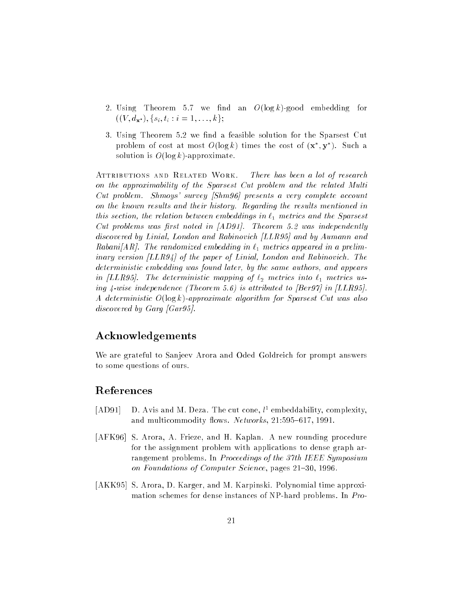- 2. Using Theorem 5.7 we find an  $O(\log k)$ -good embedding for  $((V, d_{\mathbf{x}^*}), \{s_i, t_i : i = 1, \ldots, k\});$
- 3. Using Theorem 5.2 we find a feasible solution for the Sparsest Cut problem of cost at most  $O(10g K)$  times the cost of  $(X, Y)$ . Such a solution is  $O(\log k)$ -approximate.

ATTRIBUTIONS AND RELATED WORK. There has been a lot of research on the approximability of the Sparsest Cut problem and the related Multi Cut problem. Shmoys' survey [Shm96] presents a very complete account on the known results and their history. Regarding the results mentioned in this section, the relation between embeddings in  $\ell_1$  metrics and the Sparsest Cut problems was first noted in  $[AD91]$ . Theorem 5.2 was independently discovered by Linial, London and Rabinovich [LLR95] and by Aumann and Rabani $[AR]$ . The randomized embedding in  $\ell_1$  metrics appeared in a preliminary version [LLR94] of the paper of Linial, London and Rabinovich. The deterministic embedding was found later, by the same authors, and appears in [LLR95]. The deterministic mapping of  $\ell_2$  metrics into  $\ell_1$  metrics using 4-wise independence (Theorem 5.6) is attributed to [Ber97] in [LLR95]. A deterministic  $O(\log k)$ -approximate algorithm for Sparsest Cut was also discovered by Garg [Gar95].

### Acknowledgements

We are grateful to Sanjeev Arora and Oded Goldreich for prompt answers to some questions of ours.

### References

- $[AD91]$  D. Avis and M. Deza. The cut cone,  $\iota$  embeddability, complexity, and multicommodity flows. Networks, 21:595-617, 1991.
- [AFK96] S. Arora, A. Frieze, and H. Kaplan. A new rounding procedure for the assignment problem with applications to dense graph arrangement problems. In Proceedings of the 37th IEEE Symposium on Foundations of Computer Science, pages  $21{-}30$ , 1996.
- [AKK95] S. Arora, D. Karger, and M. Karpinski. Polynomial time approximation schemes for dense instances of NP-hard problems. In Pro-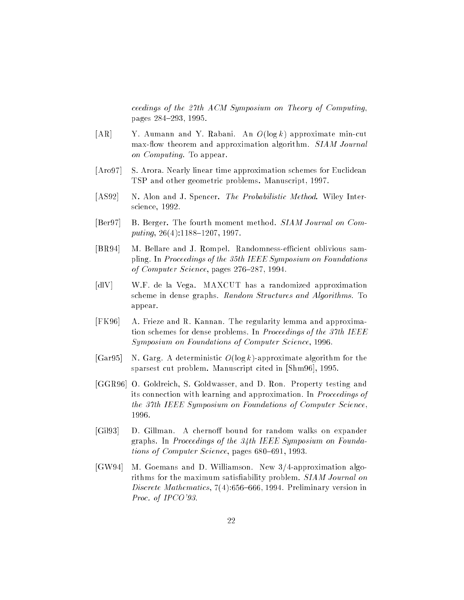ceedings of the 27th ACM Symposium on Theory of Computing, pages 284-293, 1995.

- [AR] Y. Aumann and Y. Rabani. An  $O(\log k)$  approximate min-cut max-flow theorem and approximation algorithm. SIAM Journal on Computing. To appear.
- [Aro97] S. Arora. Nearly linear time approximation schemes for Euclidean TSP and other geometric problems. Manuscript, 1997.
- [AS92] N. Alon and J. Spencer. The Probabilistic Method. Wiley Interscience, 1992.
- [Ber97] B. Berger. The fourth moment method. SIAM Journal on Computing,  $26(4):1188-1207, 1997.$
- [BR94] M. Bellare and J. Rompel. Randomness-efficient oblivious sampling. In Proceedings of the 35th IEEE Symposium on Foundations of Computer Science, pages  $276{-}287$ , 1994.
- [dlV] W.F. de la Vega. MAXCUT has a randomized approximation scheme in dense graphs. Random Structures and Algorithms. To appear.
- [FK96] A. Frieze and R. Kannan. The regularity lemma and approximation schemes for dense problems. In Proceedings of the 37th IEEE Symposium on Foundations of Computer Science, 1996.
- [Gar95] N. Garg. A deterministic  $O(\log k)$ -approximate algorithm for the sparsest cut problem. Manuscript cited in [Shm96], 1995.
- [GGR96] O. Goldreich, S. Goldwasser, and D. Ron. Property testing and its connection with learning and approximation. In Proceedings of the 37th IEEE Symposium on Foundations of Computer Science, 1996.
- [Gil93] D. Gillman. A chernoff bound for random walks on expander graphs. In Proceedings of the 34th IEEE Symposium on Foundations of Computer Science, pages  $680-691$ , 1993.
- [GW94] M. Goemans and D. Williamson. New 3/4-approximation algorithms for the maximum satisfiability problem. SIAM Journal on Discrete Mathematics,  $7(4)$ :656-666, 1994. Preliminary version in Proc. of IPCO'93.